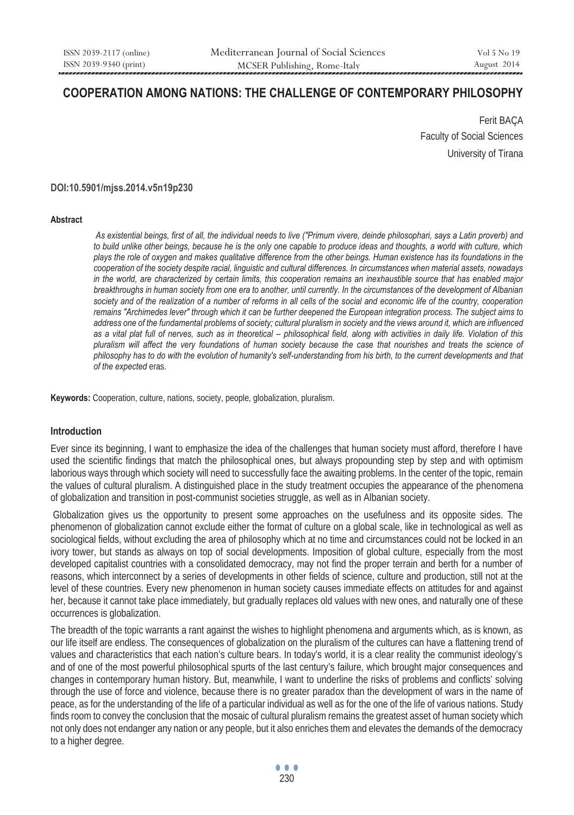# **COOPERATION AMONG NATIONS: THE CHALLENGE OF CONTEMPORARY PHILOSOPHY**

Ferit BAÇA Faculty of Social Sciences University of Tirana

#### **DOI:10.5901/mjss.2014.v5n19p230**

#### **Abstract**

*As existential beings, first of all, the individual needs to live ("Primum vivere, deinde philosophari, says a Latin proverb) and to build unlike other beings, because he is the only one capable to produce ideas and thoughts, a world with culture, which plays the role of oxygen and makes qualitative difference from the other beings. Human existence has its foundations in the cooperation of the society despite racial, linguistic and cultural differences. In circumstances when material assets, nowadays in the world, are characterized by certain limits, this cooperation remains an inexhaustible source that has enabled major breakthroughs in human society from one era to another, until currently. In the circumstances of the development of Albanian society and of the realization of a number of reforms in all cells of the social and economic life of the country, cooperation remains "Archimedes lever" through which it can be further deepened the European integration process. The subject aims to address one of the fundamental problems of society; cultural pluralism in society and the views around it, which are influenced as a vital plat full of nerves, such as in theoretical – philosophical field, along with activities in daily life. Violation of this pluralism will affect the very foundations of human society because the case that nourishes and treats the science of philosophy has to do with the evolution of humanity's self-understanding from his birth, to the current developments and that of the expected* eras.

**Keywords:** Cooperation, culture, nations, society, people, globalization, pluralism.

### **Introduction**

Ever since its beginning, I want to emphasize the idea of the challenges that human society must afford, therefore I have used the scientific findings that match the philosophical ones, but always propounding step by step and with optimism laborious ways through which society will need to successfully face the awaiting problems. In the center of the topic, remain the values of cultural pluralism. A distinguished place in the study treatment occupies the appearance of the phenomena of globalization and transition in post-communist societies struggle, as well as in Albanian society.

 Globalization gives us the opportunity to present some approaches on the usefulness and its opposite sides. The phenomenon of globalization cannot exclude either the format of culture on a global scale, like in technological as well as sociological fields, without excluding the area of philosophy which at no time and circumstances could not be locked in an ivory tower, but stands as always on top of social developments. Imposition of global culture, especially from the most developed capitalist countries with a consolidated democracy, may not find the proper terrain and berth for a number of reasons, which interconnect by a series of developments in other fields of science, culture and production, still not at the level of these countries. Every new phenomenon in human society causes immediate effects on attitudes for and against her, because it cannot take place immediately, but gradually replaces old values with new ones, and naturally one of these occurrences is globalization.

The breadth of the topic warrants a rant against the wishes to highlight phenomena and arguments which, as is known, as our life itself are endless. The consequences of globalization on the pluralism of the cultures can have a flattening trend of values and characteristics that each nation's culture bears. In today's world, it is a clear reality the communist ideology's and of one of the most powerful philosophical spurts of the last century's failure, which brought major consequences and changes in contemporary human history. But, meanwhile, I want to underline the risks of problems and conflicts' solving through the use of force and violence, because there is no greater paradox than the development of wars in the name of peace, as for the understanding of the life of a particular individual as well as for the one of the life of various nations. Study finds room to convey the conclusion that the mosaic of cultural pluralism remains the greatest asset of human society which not only does not endanger any nation or any people, but it also enriches them and elevates the demands of the democracy to a higher degree.

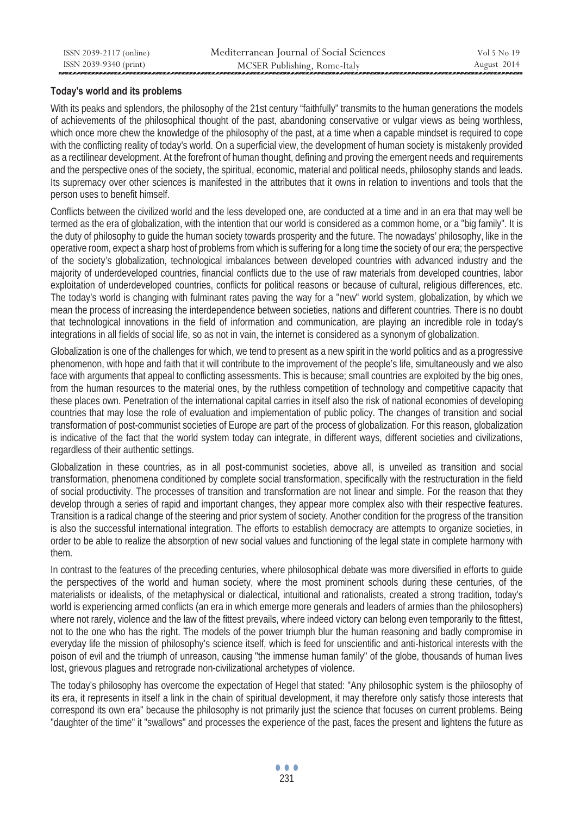# **Today's world and its problems**

With its peaks and splendors, the philosophy of the 21st century "faithfully" transmits to the human generations the models of achievements of the philosophical thought of the past, abandoning conservative or vulgar views as being worthless, which once more chew the knowledge of the philosophy of the past, at a time when a capable mindset is required to cope with the conflicting reality of today's world. On a superficial view, the development of human society is mistakenly provided as a rectilinear development. At the forefront of human thought, defining and proving the emergent needs and requirements and the perspective ones of the society, the spiritual, economic, material and political needs, philosophy stands and leads. Its supremacy over other sciences is manifested in the attributes that it owns in relation to inventions and tools that the person uses to benefit himself.

Conflicts between the civilized world and the less developed one, are conducted at a time and in an era that may well be termed as the era of globalization, with the intention that our world is considered as a common home, or a "big family". It is the duty of philosophy to guide the human society towards prosperity and the future. The nowadays' philosophy, like in the operative room, expect a sharp host of problems from which is suffering for a long time the society of our era; the perspective of the society's globalization, technological imbalances between developed countries with advanced industry and the majority of underdeveloped countries, financial conflicts due to the use of raw materials from developed countries, labor exploitation of underdeveloped countries, conflicts for political reasons or because of cultural, religious differences, etc. The today's world is changing with fulminant rates paving the way for a "new" world system, globalization, by which we mean the process of increasing the interdependence between societies, nations and different countries. There is no doubt that technological innovations in the field of information and communication, are playing an incredible role in today's integrations in all fields of social life, so as not in vain, the internet is considered as a synonym of globalization.

Globalization is one of the challenges for which, we tend to present as a new spirit in the world politics and as a progressive phenomenon, with hope and faith that it will contribute to the improvement of the people's life, simultaneously and we also face with arguments that appeal to conflicting assessments. This is because; small countries are exploited by the big ones, from the human resources to the material ones, by the ruthless competition of technology and competitive capacity that these places own. Penetration of the international capital carries in itself also the risk of national economies of developing countries that may lose the role of evaluation and implementation of public policy. The changes of transition and social transformation of post-communist societies of Europe are part of the process of globalization. For this reason, globalization is indicative of the fact that the world system today can integrate, in different ways, different societies and civilizations, regardless of their authentic settings.

Globalization in these countries, as in all post-communist societies, above all, is unveiled as transition and social transformation, phenomena conditioned by complete social transformation, specifically with the restructuration in the field of social productivity. The processes of transition and transformation are not linear and simple. For the reason that they develop through a series of rapid and important changes, they appear more complex also with their respective features. Transition is a radical change of the steering and prior system of society. Another condition for the progress of the transition is also the successful international integration. The efforts to establish democracy are attempts to organize societies, in order to be able to realize the absorption of new social values and functioning of the legal state in complete harmony with them.

In contrast to the features of the preceding centuries, where philosophical debate was more diversified in efforts to guide the perspectives of the world and human society, where the most prominent schools during these centuries, of the materialists or idealists, of the metaphysical or dialectical, intuitional and rationalists, created a strong tradition, today's world is experiencing armed conflicts (an era in which emerge more generals and leaders of armies than the philosophers) where not rarely, violence and the law of the fittest prevails, where indeed victory can belong even temporarily to the fittest, not to the one who has the right. The models of the power triumph blur the human reasoning and badly compromise in everyday life the mission of philosophy's science itself, which is feed for unscientific and anti-historical interests with the poison of evil and the triumph of unreason, causing "the immense human family" of the globe, thousands of human lives lost, grievous plagues and retrograde non-civilizational archetypes of violence.

The today's philosophy has overcome the expectation of Hegel that stated: "Any philosophic system is the philosophy of its era, it represents in itself a link in the chain of spiritual development, it may therefore only satisfy those interests that correspond its own era" because the philosophy is not primarily just the science that focuses on current problems. Being "daughter of the time" it "swallows" and processes the experience of the past, faces the present and lightens the future as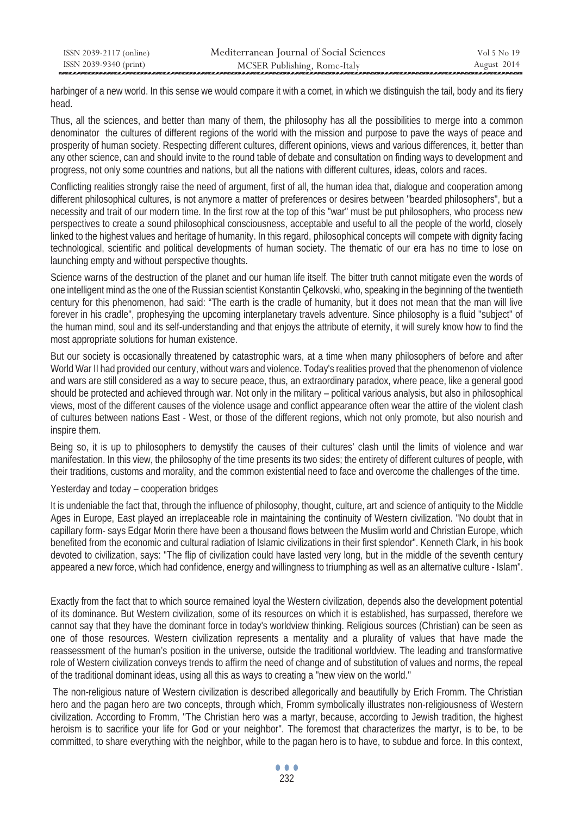| ISSN 2039-2117 (online) | Mediterranean Journal of Social Sciences | Vol 5 No 19 |
|-------------------------|------------------------------------------|-------------|
| ISSN 2039-9340 (print)  | MCSER Publishing, Rome-Italy             | August 2014 |

harbinger of a new world. In this sense we would compare it with a comet, in which we distinguish the tail, body and its fiery head.

Thus, all the sciences, and better than many of them, the philosophy has all the possibilities to merge into a common denominator the cultures of different regions of the world with the mission and purpose to pave the ways of peace and prosperity of human society. Respecting different cultures, different opinions, views and various differences, it, better than any other science, can and should invite to the round table of debate and consultation on finding ways to development and progress, not only some countries and nations, but all the nations with different cultures, ideas, colors and races.

Conflicting realities strongly raise the need of argument, first of all, the human idea that, dialogue and cooperation among different philosophical cultures, is not anymore a matter of preferences or desires between "bearded philosophers", but a necessity and trait of our modern time. In the first row at the top of this "war" must be put philosophers, who process new perspectives to create a sound philosophical consciousness, acceptable and useful to all the people of the world, closely linked to the highest values and heritage of humanity. In this regard, philosophical concepts will compete with dignity facing technological, scientific and political developments of human society. The thematic of our era has no time to lose on launching empty and without perspective thoughts.

Science warns of the destruction of the planet and our human life itself. The bitter truth cannot mitigate even the words of one intelligent mind as the one of the Russian scientist Konstantin Çelkovski, who, speaking in the beginning of the twentieth century for this phenomenon, had said: "The earth is the cradle of humanity, but it does not mean that the man will live forever in his cradle", prophesying the upcoming interplanetary travels adventure. Since philosophy is a fluid "subject" of the human mind, soul and its self-understanding and that enjoys the attribute of eternity, it will surely know how to find the most appropriate solutions for human existence.

But our society is occasionally threatened by catastrophic wars, at a time when many philosophers of before and after World War II had provided our century, without wars and violence. Today's realities proved that the phenomenon of violence and wars are still considered as a way to secure peace, thus, an extraordinary paradox, where peace, like a general good should be protected and achieved through war. Not only in the military – political various analysis, but also in philosophical views, most of the different causes of the violence usage and conflict appearance often wear the attire of the violent clash of cultures between nations East - West, or those of the different regions, which not only promote, but also nourish and inspire them.

Being so, it is up to philosophers to demystify the causes of their cultures' clash until the limits of violence and war manifestation. In this view, the philosophy of the time presents its two sides; the entirety of different cultures of people, with their traditions, customs and morality, and the common existential need to face and overcome the challenges of the time.

Yesterday and today – cooperation bridges

It is undeniable the fact that, through the influence of philosophy, thought, culture, art and science of antiquity to the Middle Ages in Europe, East played an irreplaceable role in maintaining the continuity of Western civilization. "No doubt that in capillary form- says Edgar Morin there have been a thousand flows between the Muslim world and Christian Europe, which benefited from the economic and cultural radiation of Islamic civilizations in their first splendor". Kenneth Clark, in his book devoted to civilization, says: "The flip of civilization could have lasted very long, but in the middle of the seventh century appeared a new force, which had confidence, energy and willingness to triumphing as well as an alternative culture - Islam".

Exactly from the fact that to which source remained loyal the Western civilization, depends also the development potential of its dominance. But Western civilization, some of its resources on which it is established, has surpassed, therefore we cannot say that they have the dominant force in today's worldview thinking. Religious sources (Christian) can be seen as one of those resources. Western civilization represents a mentality and a plurality of values that have made the reassessment of the human's position in the universe, outside the traditional worldview. The leading and transformative role of Western civilization conveys trends to affirm the need of change and of substitution of values and norms, the repeal of the traditional dominant ideas, using all this as ways to creating a "new view on the world."

 The non-religious nature of Western civilization is described allegorically and beautifully by Erich Fromm. The Christian hero and the pagan hero are two concepts, through which, Fromm symbolically illustrates non-religiousness of Western civilization. According to Fromm, "The Christian hero was a martyr, because, according to Jewish tradition, the highest heroism is to sacrifice your life for God or your neighbor". The foremost that characterizes the martyr, is to be, to be committed, to share everything with the neighbor, while to the pagan hero is to have, to subdue and force. In this context,